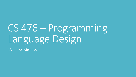# CS 476 – Programming Language Design

William Mansky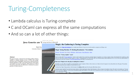#### Turing-Completeness

- Lambda calculus is Turing-complete
- C and OCaml can express all the same computations
- And so can a lot of other things:



#### **Abstract**

This paper describes a reduction from the halting problem of Turing machines to subtype checking in Java. It follows that subtype checking in Java is undecidable, which answers a question posed by Kennedy and Pierce in 2007. It also follows that Java's type checker can recognize any recursive language, which improves a result of Gil and Levy from 2016. The latter point is illustrated by a parser generator for fluent interfaces.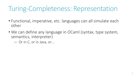#### Turing-Completeness: Representation

- Functional, imperative, etc. languages can all simulate each other
- We can define any language in OCaml (syntax, type system, semantics, interpreter)
	- ― Or in C, or in Java, or…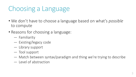# Choosing a Language

- We don't have to choose a language based on what's *possible* to compute
- Reasons for choosing a language:
	- ― Familiarity
	- ― Existing/legacy code
	- ― Library support
	- ― Tool support
	- ― Match between syntax/paradigm and thing we're trying to describe
	- ― Level of abstraction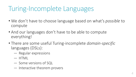#### Turing-Incomplete Languages

- We don't have to choose language based on what's *possible* to compute
- And our languages don't have to be able to compute everything!
- There are some useful Turing-incomplete *domain-specific* languages (DSLs):
	- ― Regular expressions
	- ― HTML
	- ― Some versions of SQL
	- ― Interactive theorem provers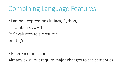### Combining Language Features

- Lambda-expressions in Java, Python, …
- $f =$ lambda x : x + 1
- (\* f evaluates to a closure \*) print f(5)
- References in OCaml

Already exist, but require major changes to the semantics!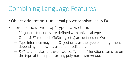#### Combining Language Features

- Object orientation + universal polymorphism, as in F#
- There are now two "top" types: Object and 'a
	- ― F# generic functions are defined with universal types
	- ― Other .NET methods (ToString, etc.) are defined on Object
	- ― Type inference may infer Object or 'a as the type of an argument depending on how it's used, unpredictably
	- ― *Reflection* makes this even worse: "generic" functions can case on the type of the input, turning polymorphism *ad-hoc*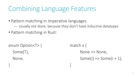#### Combining Language Features

- Pattern matching in imperative languages
	- ― Usually not done, because they don't have inductive datatypes
- Pattern matching in Rust:

} }

enum Option< $T$ > { match x {

 $Some(T),$  None => None, None,  $Some(i) \Rightarrow Some(i+1)$ ,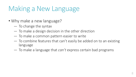# Making a New Language

- Why make a new language?
	- ― To change the syntax
	- ― To make a design decision in the other direction
	- ― To make a common pattern easier to write
	- ― To combine features that can't easily be added on to an existing language
	- ― To make a language that *can't* express certain bad programs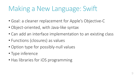# Making a New Language: Swift

- Goal: a cleaner replacement for Apple's Objective-C
- Object-oriented, with Java-like syntax
- Can add an interface implementation to an existing class
- Functions (closures) as values
- Option type for possibly-null values
- Type inference
- Has libraries for iOS programming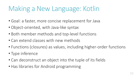# Making a New Language: Kotlin

- Goal: a faster, more concise replacement for Java
- Object-oriented, with Java-like syntax
- Both member methods and top-level functions
- Can extend classes with new methods
- Functions (closures) as values, including higher-order functions
- Type inference
- Can deconstruct an object into the tuple of its fields
- Has libraries for Android programming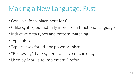#### Making a New Language: Rust

- Goal: a safer replacement for C
- C-like syntax, but actually more like a functional language
- Inductive data types and pattern matching
- Type inference
- Type classes for ad-hoc polymorphism
- "Borrowing" type system for safe concurrency
- Used by Mozilla to implement Firefox